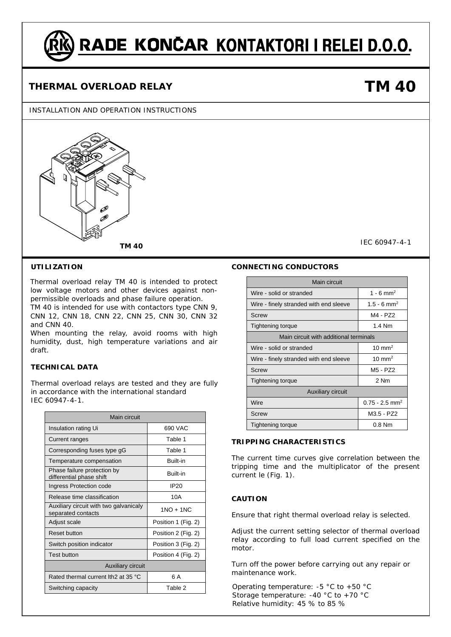# RADE KONČAR KONTAKTORI I RELEI D.O.O.

### **THERMAL OVERLOAD RELAY**

#### INSTALLATION AND OPERATION INSTRUCTIONS



#### **UTILIZATION**

Thermal overload relay TM 40 is intended to protect low voltage motors and other devices against nonpermissible overloads and phase failure operation.

TM 40 is intended for use with contactors type CNN 9, CNN 12, CNN 18, CNN 22, CNN 25, CNN 30, CNN 32 and CNN 40.

When mounting the relay, avoid rooms with high humidity, dust, high temperature variations and air draft.

#### **TECHNICAL DATA**

Thermal overload relays are tested and they are fully in accordance with the international standard IEC 60947-4-1.

| Main circuit                                                 |                     |  |  |  |
|--------------------------------------------------------------|---------------------|--|--|--|
| Insulation rating Ui                                         | 690 VAC             |  |  |  |
| Current ranges                                               | Table 1             |  |  |  |
| Corresponding fuses type gG                                  | Table 1             |  |  |  |
| Temperature compensation                                     | <b>Built-in</b>     |  |  |  |
| Phase failure protection by<br>differential phase shift      | <b>Built-in</b>     |  |  |  |
| Ingress Protection code                                      | IP <sub>20</sub>    |  |  |  |
| Release time classification                                  | 10A                 |  |  |  |
| Auxiliary circuit with two galvanicaly<br>separated contacts | $1NO + 1NC$         |  |  |  |
| Adjust scale                                                 | Position 1 (Fig. 2) |  |  |  |
| Reset button                                                 | Position 2 (Fig. 2) |  |  |  |
| Switch position indicator                                    | Position 3 (Fig. 2) |  |  |  |
| <b>Test button</b>                                           | Position 4 (Fig. 2) |  |  |  |
| <b>Auxiliary circuit</b>                                     |                     |  |  |  |
| Rated thermal current lth2 at 35 °C                          | 6 A                 |  |  |  |
| Switching capacity                                           | Table 2             |  |  |  |

#### **CONNECTING CONDUCTORS**

| Main circuit                           |                                  |  |  |  |
|----------------------------------------|----------------------------------|--|--|--|
| Wire - solid or stranded               | 1 - 6 mm <sup>2</sup>            |  |  |  |
| Wire - finely stranded with end sleeve | 1.5 - 6 mm <sup>2</sup>          |  |  |  |
| Screw                                  | M4 - P72                         |  |  |  |
| <b>Tightening torque</b>               | 1.4 Nm                           |  |  |  |
| Main circuit with additional terminals |                                  |  |  |  |
| Wire - solid or stranded               | $10 \text{ mm}^2$                |  |  |  |
| Wire - finely stranded with end sleeve | $10 \text{ mm}^2$                |  |  |  |
| Screw                                  | M <sub>5</sub> - P <sub>72</sub> |  |  |  |
| <b>Tightening torque</b>               | 2 Nm                             |  |  |  |
| <b>Auxiliary circuit</b>               |                                  |  |  |  |
| Wire                                   | $0.75 - 2.5$ mm <sup>2</sup>     |  |  |  |
| Screw                                  | M3.5 - PZ2                       |  |  |  |
| <b>Tightening torque</b>               | 0.8 Nm                           |  |  |  |

**TRIPPING CHARACTERISTICS**

The current time curves give correlation between the tripping time and the multiplicator of the present current le (Fig. 1).

#### **CAUTION**

Ensure that right thermal overload relay is selected.

Adjust the current setting selector of thermal overload relay according to full load current specified on the motor.

Turn off the power before carrying out any repair or maintenance work.

Operating temperature: -5  $°C$  to +50  $°C$ Storage temperature: -40 °C to +70 °C Relative humidity: 45 % to 85 %

## **TM 40**